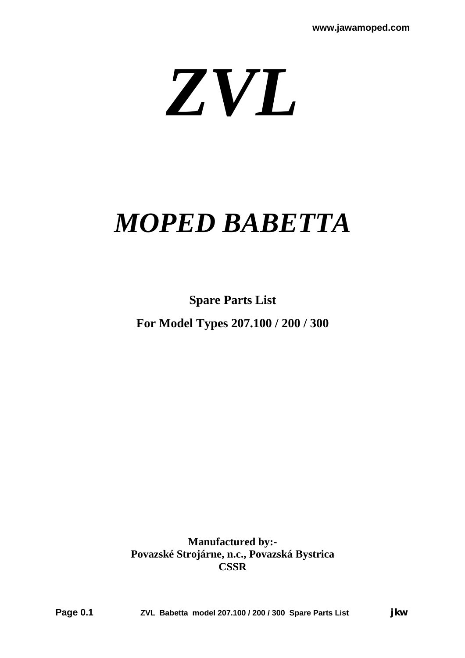# *ZVL*

# *MOPED BABETTA*

**Spare Parts List**

**For Model Types 207.100 / 200 / 300**

**Manufactured by:- Povazské Strojárne, n.c., Povazská Bystrica CSSR**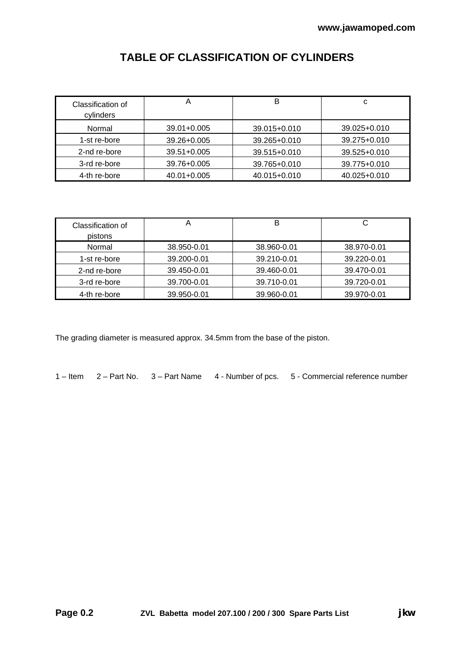| Classification of<br>cylinders | A               | в            | с            |
|--------------------------------|-----------------|--------------|--------------|
| Normal                         | 39.01+0.005     | 39.015+0.010 | 39.025+0.010 |
| 1-st re-bore                   | $39.26 + 0.005$ | 39.265+0.010 | 39.275+0.010 |
| 2-nd re-bore                   | $39.51 + 0.005$ | 39.515+0.010 | 39.525+0.010 |
| 3-rd re-bore                   | 39.76+0.005     | 39.765+0.010 | 39.775+0.010 |
| 4-th re-bore                   | 40.01+0.005     | 40.015+0.010 | 40.025+0.010 |

#### **TABLE OF CLASSIFICATION OF CYLINDERS**

| Classification of<br>pistons | A           | в           | С           |
|------------------------------|-------------|-------------|-------------|
| Normal                       | 38.950-0.01 | 38.960-0.01 | 38.970-0.01 |
| 1-st re-bore                 | 39.200-0.01 | 39.210-0.01 | 39.220-0.01 |
| 2-nd re-bore                 | 39.450-0.01 | 39.460-0.01 | 39.470-0.01 |
| 3-rd re-bore                 | 39.700-0.01 | 39.710-0.01 | 39.720-0.01 |
| 4-th re-bore                 | 39.950-0.01 | 39.960-0.01 | 39.970-0.01 |

The grading diameter is measured approx. 34.5mm from the base of the piston.

1 – Item 2 – Part No. 3 – Part Name 4 - Number of pcs. 5 - Commercial reference number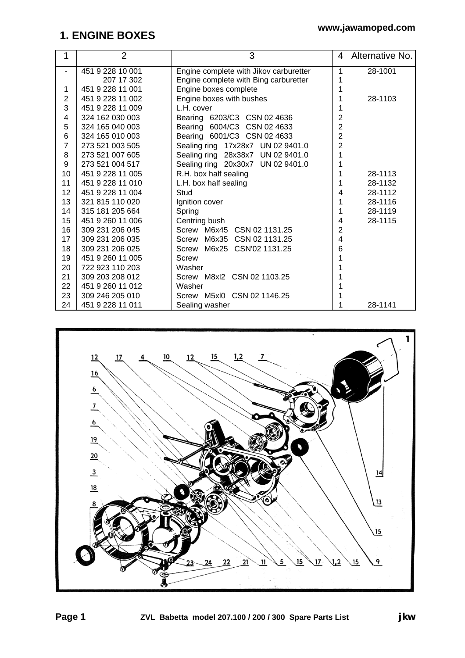#### **1. ENGINE BOXES**

| 1              | $\overline{2}$   | 3                                      | 4              | Alternative No. |
|----------------|------------------|----------------------------------------|----------------|-----------------|
| ۰              | 451 9 228 10 001 | Engine complete with Jikov carburetter | 1              | 28-1001         |
|                | 207 17 302       | Engine complete with Bing carburetter  | 1              |                 |
| 1              | 451 9 228 11 001 | Engine boxes complete                  | 1              |                 |
| $\overline{2}$ | 451 9 228 11 002 | Engine boxes with bushes               | 1              | 28-1103         |
| 3              | 451 9 228 11 009 | L.H. cover                             | 1              |                 |
| 4              | 324 162 030 003  | Bearing 6203/C3 CSN 02 4636            | $\overline{2}$ |                 |
| 5              | 324 165 040 003  | Bearing 6004/C3 CSN 02 4633            | $\overline{2}$ |                 |
| 6              | 324 165 010 003  | Bearing 6001/C3 CSN 02 4633            | 2              |                 |
| $\overline{7}$ | 273 521 003 505  | Sealing ring 17x28x7 UN 02 9401.0      | $\overline{2}$ |                 |
| 8              | 273 521 007 605  | Sealing ring 28x38x7 UN 02 9401.0      | 1              |                 |
| 9              | 273 521 004 517  | Sealing ring 20x30x7 UN 02 9401.0      | 1              |                 |
| 10             | 451 9 228 11 005 | R.H. box half sealing                  | 1              | 28-1113         |
| 11             | 451 9 228 11 010 | L.H. box half sealing                  | 1              | 28-1132         |
| 12             | 451 9 228 11 004 | Stud                                   | 4              | 28-1112         |
| 13             | 321 815 110 020  | Ignition cover                         | 1              | 28-1116         |
| 14             | 315 181 205 664  | Spring                                 | 1              | 28-1119         |
| 15             | 451 9 260 11 006 | Centring bush                          | 4              | 28-1115         |
| 16             | 309 231 206 045  | Screw M6x45 CSN 02 1131.25             | 2              |                 |
| 17             | 309 231 206 035  | M6x35 CSN 02 1131.25<br>Screw          | 4              |                 |
| 18             | 309 231 206 025  | Screw M6x25 CSN'02 1131.25             | 6              |                 |
| 19             | 451 9 260 11 005 | Screw                                  | 1              |                 |
| 20             | 722 923 110 203  | Washer                                 | 1              |                 |
| 21             | 309 203 208 012  | Screw M8xl2 CSN 02 1103.25             | 1              |                 |
| 22             | 451 9 260 11 012 | Washer                                 | 1              |                 |
| 23             | 309 246 205 010  | Screw M5xl0 CSN 02 1146.25             | 1              |                 |
| 24             | 451 9 228 11 011 | Sealing washer                         | 1              | 28-1141         |

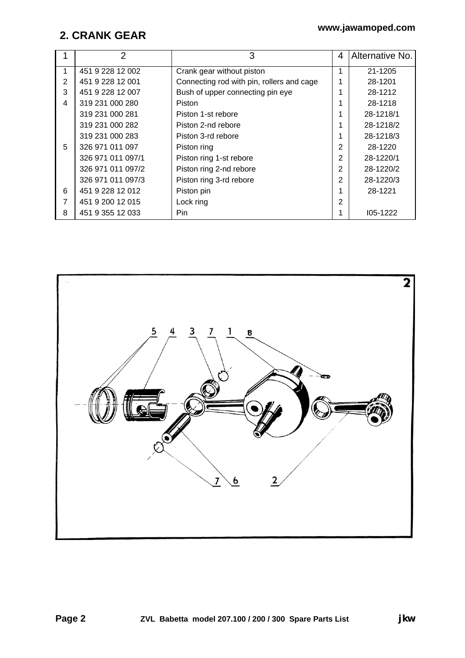#### **www.jawamoped.com**

#### **2. CRANK GEAR**

|                | $\overline{2}$    | 3                                         | 4              | Alternative No. |
|----------------|-------------------|-------------------------------------------|----------------|-----------------|
| 1              | 451 9 228 12 002  | Crank gear without piston                 |                | 21-1205         |
| $\overline{2}$ | 451 9 228 12 001  | Connecting rod with pin, rollers and cage |                | 28-1201         |
| 3              | 451 9 228 12 007  | Bush of upper connecting pin eye          |                | 28-1212         |
| 4              | 319 231 000 280   | Piston                                    |                | 28-1218         |
|                | 319 231 000 281   | Piston 1-st rebore                        |                | 28-1218/1       |
|                | 319 231 000 282   | Piston 2-nd rebore                        |                | 28-1218/2       |
|                | 319 231 000 283   | Piston 3-rd rebore                        |                | 28-1218/3       |
| 5              | 326 971 011 097   | Piston ring                               | 2              | 28-1220         |
|                | 326 971 011 097/1 | Piston ring 1-st rebore                   | 2              | 28-1220/1       |
|                | 326 971 011 097/2 | Piston ring 2-nd rebore                   | 2              | 28-1220/2       |
|                | 326 971 011 097/3 | Piston ring 3-rd rebore                   | $\overline{2}$ | 28-1220/3       |
| 6              | 451 9 228 12 012  | Piston pin                                |                | 28-1221         |
| 7              | 451 9 200 12 015  | Lock ring                                 | 2              |                 |
| 8              | 451 9 355 12 033  | Pin                                       |                | $105 - 1222$    |

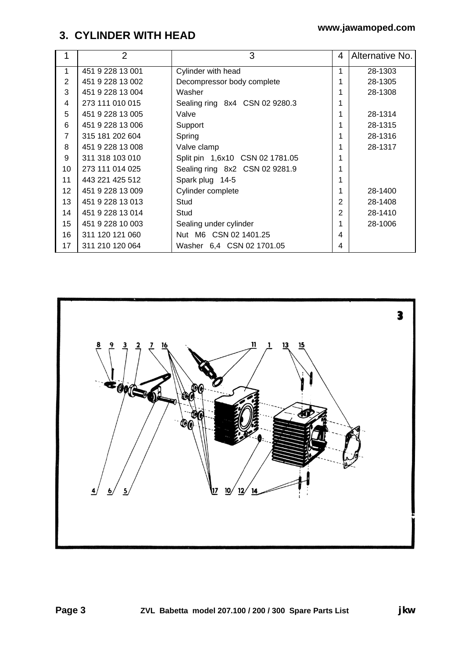|    | $\overline{2}$   | 3                               | 4              | Alternative No. |
|----|------------------|---------------------------------|----------------|-----------------|
| 1  | 451 9 228 13 001 | Cylinder with head              | 1              | 28-1303         |
| 2  | 451 9 228 13 002 | Decompressor body complete      |                | 28-1305         |
| 3  | 451 9 228 13 004 | Washer                          |                | 28-1308         |
| 4  | 273 111 010 015  | Sealing ring 8x4 CSN 02 9280.3  |                |                 |
| 5  | 451 9 228 13 005 | Valve                           |                | 28-1314         |
| 6  | 451 9 228 13 006 | Support                         |                | 28-1315         |
| 7  | 315 181 202 604  | Spring                          |                | 28-1316         |
| 8  | 451 9 228 13 008 | Valve clamp                     |                | 28-1317         |
| 9  | 311 318 103 010  | Split pin 1,6x10 CSN 02 1781.05 |                |                 |
| 10 | 273 111 014 025  | Sealing ring 8x2 CSN 02 9281.9  |                |                 |
| 11 | 443 221 425 512  | Spark plug 14-5                 |                |                 |
| 12 | 451 9 228 13 009 | Cylinder complete               |                | 28-1400         |
| 13 | 451 9 228 13 013 | Stud                            | 2              | 28-1408         |
| 14 | 451 9 228 13 014 | Stud                            | $\overline{2}$ | 28-1410         |
| 15 | 451 9 228 10 003 | Sealing under cylinder          |                | 28-1006         |
| 16 | 311 120 121 060  | Nut M6 CSN 02 1401.25           | 4              |                 |
| 17 | 311 210 120 064  | Washer 6,4 CSN 02 1701.05       | 4              |                 |

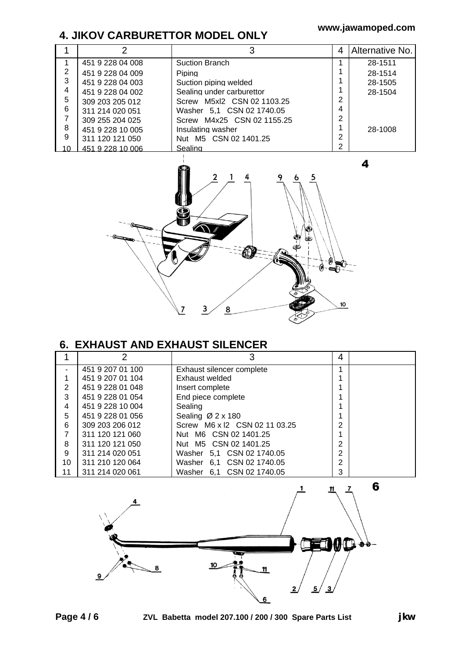#### **www.jawamoped.com**

# **4. JIKOV CARBURETTOR MODEL ONLY**

|   | 2                | 3                          | 4 | Alternative No. |
|---|------------------|----------------------------|---|-----------------|
|   | 451 9 228 04 008 | <b>Suction Branch</b>      |   | 28-1511         |
| 2 | 451 9 228 04 009 | Pipina                     |   | 28-1514         |
| 3 | 451 9 228 04 003 | Suction piping welded      |   | 28-1505         |
| 4 | 451 9 228 04 002 | Sealing under carburettor  |   | 28-1504         |
| 5 | 309 203 205 012  | Screw M5xl2 CSN 02 1103.25 | ⌒ |                 |
| 6 | 311 214 020 051  | Washer 5.1 CSN 02 1740.05  | 4 |                 |
|   | 309 255 204 025  | Screw M4x25 CSN 02 1155.25 | C |                 |
| 8 | 451 9 228 10 005 | Insulating washer          |   | 28-1008         |
| 9 | 311 120 121 050  | Nut M5 CSN 02 1401.25      | ◠ |                 |
|   | 451 9 228 10 006 | Sealing                    | ⌒ |                 |



#### **6. EXHAUST AND EXHAUST SILENCER**

8

|    | $\overline{2}$   | 3                             | 4              |
|----|------------------|-------------------------------|----------------|
|    | 451 9 207 01 100 | Exhaust silencer complete     |                |
|    | 451 9 207 01 104 | Exhaust welded                |                |
| 2  | 451 9 228 01 048 | Insert complete               |                |
| 3  | 451 9 228 01 054 | End piece complete            |                |
| 4  | 451 9 228 10 004 | Sealing                       |                |
| 5  | 451 9 228 01 056 | Sealing $\varnothing$ 2 x 180 |                |
| 6  | 309 203 206 012  | Screw M6 x l2 CSN 02 11 03.25 | 2              |
| 7  | 311 120 121 060  | Nut M6 CSN 02 1401.25         |                |
| 8  | 311 120 121 050  | Nut M5 CSN 02 1401.25         | 2              |
| 9  | 311 214 020 051  | Washer 5,1 CSN 02 1740.05     | 2              |
| 10 | 311 210 120 064  | Washer 6,1 CSN 02 1740.05     | $\overline{2}$ |
| 11 | 311 214 020 061  | Washer 6,1 CSN 02 1740.05     | 3              |
|    |                  |                               | 6              |

9

Ħ

6

 $\begin{array}{c}\n\hline\n\end{array}$ 

 $\overline{5}$ 

 $\overline{\mathbf{2}}$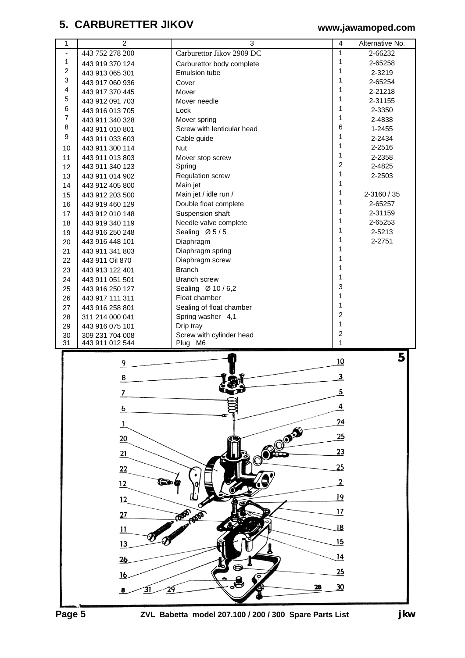# **5. CARBURETTER JIKOV**

#### **www.jawamoped.com**

|                           |                    |                            |                         | w.juwamopou.oom |
|---------------------------|--------------------|----------------------------|-------------------------|-----------------|
| 1                         | $\overline{c}$     | 3                          | $\overline{\mathbf{4}}$ | Alternative No. |
| ÷,                        | 443 752 278 200    | Carburettor Jikov 2909 DC  | 1                       | 2-66232         |
| 1                         | 443 919 370 124    | Carburettor body complete  | $\mathbf{1}$            | 2-65258         |
| $\overline{c}$            | 443 913 065 301    | <b>Emulsion tube</b>       | 1                       | 2-3219          |
| $\ensuremath{\mathsf{3}}$ | 443 917 060 936    | Cover                      | 1                       | 2-65254         |
| $\overline{\mathbf{4}}$   | 443 917 370 445    | Mover                      | 1                       | 2-21218         |
| $\mathbf 5$               | 443 912 091 703    | Mover needle               | 1                       | 2-31155         |
| 6                         | 443 916 013 705    | Lock                       | 1                       | 2-3350          |
| $\overline{\mathbf{7}}$   | 443 911 340 328    | Mover spring               | 1                       | 2-4838          |
| $\bf8$                    | 443 911 010 801    | Screw with lenticular head | 6                       | 1-2455          |
| $\boldsymbol{9}$          | 443 911 033 603    | Cable guide                | 1                       | 2-2434          |
| 10                        | 443 911 300 114    | Nut                        | 1                       | 2-2516          |
| 11                        | 443 911 013 803    | Mover stop screw           | 1                       | 2-2358          |
| 12                        | 443 911 340 123    | Spring                     | $\overline{c}$          | 2-4825          |
| 13                        | 443 911 014 902    | <b>Regulation screw</b>    | 1                       | 2-2503          |
| 14                        | 443 912 405 800    | Main jet                   | 1                       |                 |
| 15                        | 443 912 203 500    | Main jet / idle run /      | 1                       | 2-3160 / 35     |
| 16                        | 443 919 460 129    | Double float complete      | 1                       | 2-65257         |
| 17                        | 443 912 010 148    | Suspension shaft           | 1                       | 2-31159         |
| 18                        | 443 919 340 119    | Needle valve complete      | 1                       | 2-65253         |
| 19                        | 443 916 250 248    | Sealing Ø 5/5              | 1                       | 2-5213          |
| 20                        | 443 916 448 101    | Diaphragm                  | 1                       | 2-2751          |
| 21                        | 443 911 341 803    | Diaphragm spring           | 1                       |                 |
| 22                        | 443 911 Oil 870    | Diaphragm screw            | 1                       |                 |
| 23                        | 443 913 122 401    | <b>Branch</b>              | 1                       |                 |
| 24                        | 443 911 051 501    | <b>Branch screw</b>        | 1                       |                 |
| 25                        | 443 916 250 127    | Sealing Ø 10 / 6,2         | 3                       |                 |
| 26                        | 443 917 111 311    | Float chamber              | 1                       |                 |
| 27                        | 443 916 258 801    | Sealing of float chamber   | 1                       |                 |
| 28                        | 311 214 000 041    | Spring washer 4,1          | $\overline{c}$          |                 |
| 29                        | 443 916 075 101    | Drip tray                  | $\mathbf{1}$            |                 |
| 30                        | 309 231 704 008    | Screw with cylinder head   | $\overline{c}$<br>1     |                 |
| 31                        | 443 911 012 544    | Plug M6                    |                         |                 |
|                           | 9                  |                            | 10                      | 5               |
|                           |                    |                            |                         |                 |
|                           | 8                  |                            | 3                       |                 |
|                           |                    |                            | 5                       |                 |
|                           |                    |                            |                         |                 |
|                           | ь                  |                            | 4                       |                 |
|                           | -1                 |                            | 24                      |                 |
|                           | 20                 |                            | 25                      |                 |
|                           | 21                 |                            | 23                      |                 |
|                           |                    |                            |                         |                 |
|                           | 22                 |                            | 25                      |                 |
|                           | $\mathbb{G}$<br>12 |                            | $\overline{\mathbf{2}}$ |                 |
|                           | 12                 |                            | 19                      |                 |
|                           | 27                 | FADD                       | 17                      |                 |
|                           | $\overline{11}$    |                            | <u>18</u>               |                 |
|                           | 13                 |                            | 15                      |                 |
|                           |                    |                            | 14                      |                 |
|                           | <u>26</u>          |                            | <u>25</u>               |                 |
|                           | <u> 16</u>         | 28                         |                         |                 |
|                           |                    | 29                         | 30                      |                 |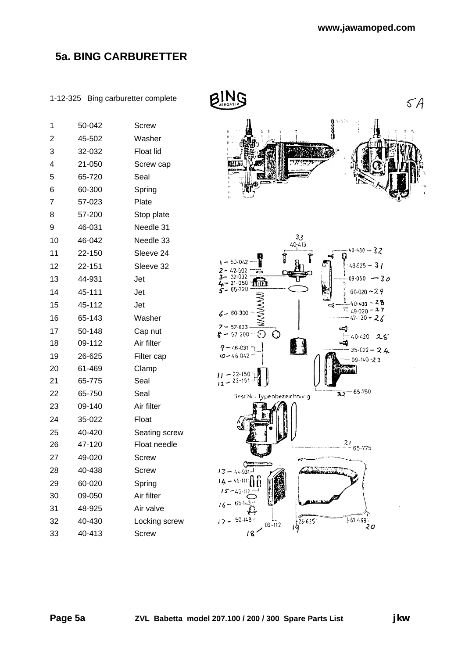#### **5a. BING CARBURETTER**

#### 1-12-325 Bing carburetter complete

| 1  | 50-042 | Screw            |
|----|--------|------------------|
| 2  | 45-502 | Washer           |
| 3  | 32-032 | <b>Float lid</b> |
| 4  | 21-050 | Screw cap        |
| 5  | 65-720 | Seal             |
| 6  | 60-300 | Spring           |
| 7  | 57-023 | Plate            |
| 8  | 57-200 | Stop plate       |
| 9  | 46-031 | Needle 31        |
| 10 | 46-042 | Needle 33        |
| 11 | 22-150 | Sleeve 24        |
| 12 | 22-151 | Sleeve 32        |
| 13 | 44-931 | Jet              |
| 14 | 45-111 | Jet              |
| 15 | 45-112 | Jet              |
| 16 | 65-143 | Washer           |
| 17 | 50-148 | Cap nut          |
| 18 | 09-112 | Air filter       |
| 19 | 26-625 | Filter cap       |
| 20 | 61-469 | Clamp            |
| 21 | 65-775 | Seal             |
| 22 | 65-750 | Seal             |
| 23 | 09-140 | Air filter       |
| 24 | 35-022 | Float            |
| 25 | 40-420 | Seating screw    |
| 26 | 47-120 | Float needle     |
| 27 | 49-020 | Screw            |
| 28 | 40-438 | <b>Screw</b>     |
| 29 | 60-020 | Spring           |
| 30 | 09-050 | Air filter       |
| 31 | 48-925 | Air valve        |
| 32 | 40-430 | Locking screw    |
| 33 | 40-413 | <b>Screw</b>     |

 $B_{\text{max}}^{\text{IN}}$ 

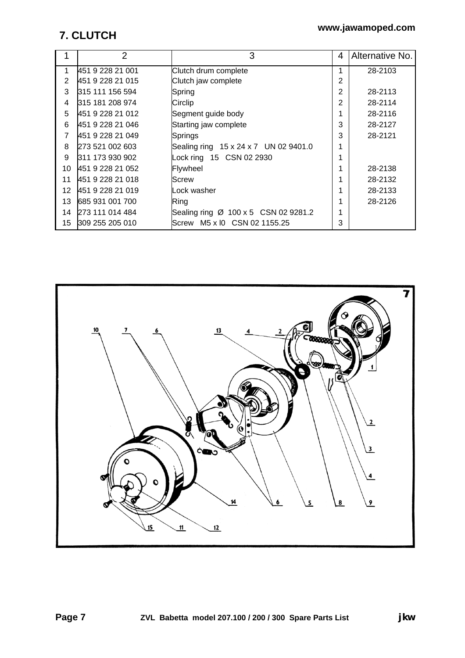#### **7. CLUTCH**

|    | 2                | 3                                     | 4 | Alternative No. |
|----|------------------|---------------------------------------|---|-----------------|
| 1  | 451 9 228 21 001 | Clutch drum complete                  | 1 | 28-2103         |
| 2  | 451 9 228 21 015 | Clutch jaw complete                   | 2 |                 |
| 3  | 315 111 156 594  | Spring                                | 2 | 28-2113         |
| 4  | 315 181 208 974  | Circlip                               | 2 | 28-2114         |
| 5  | 451 9 228 21 012 | Segment guide body                    |   | 28-2116         |
| 6  | 451 9 228 21 046 | Starting jaw complete                 | 3 | 28-2127         |
| 7  | 451 9 228 21 049 | Springs                               | 3 | 28-2121         |
| 8  | 273 521 002 603  | Sealing ring 15 x 24 x 7 UN 02 9401.0 |   |                 |
| 9  | 311 173 930 902  | Lock ring 15 CSN 02 2930              |   |                 |
| 10 | 451 9 228 21 052 | Flywheel                              |   | 28-2138         |
| 11 | 451 9 228 21 018 | Screw                                 |   | 28-2132         |
| 12 | 451 9 228 21 019 | Lock washer                           |   | 28-2133         |
| 13 | 685 931 001 700  | Ring                                  |   | 28-2126         |
| 14 | 273 111 014 484  | Sealing ring Ø 100 x 5 CSN 02 9281.2  |   |                 |
| 15 | 309 255 205 010  | M5 x 10 CSN 02 1155.25<br>Screw       | 3 |                 |

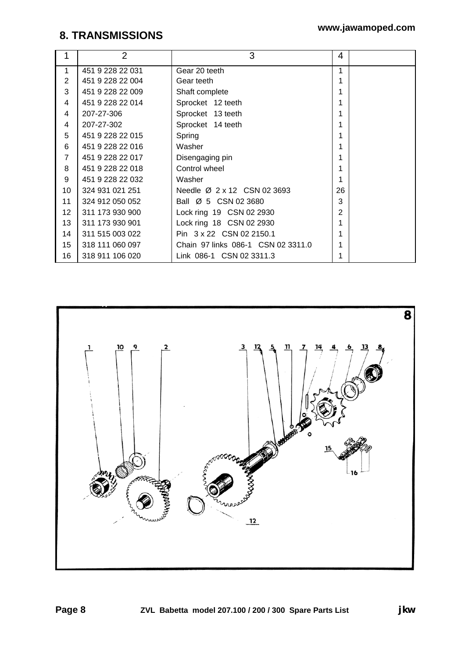#### **8. TRANSMISSIONS**

| 1              | $\overline{2}$   | 3                                  | 4              |  |
|----------------|------------------|------------------------------------|----------------|--|
| 1              | 451 9 228 22 031 | Gear 20 teeth                      | 1              |  |
| 2              | 451 9 228 22 004 | Gear teeth                         |                |  |
| 3              | 451 9 228 22 009 | Shaft complete                     |                |  |
| 4              | 451 9 228 22 014 | Sprocket 12 teeth                  |                |  |
| 4              | 207-27-306       | Sprocket 13 teeth                  |                |  |
| 4              | 207-27-302       | Sprocket 14 teeth                  |                |  |
| 5              | 451 9 228 22 015 | Spring                             |                |  |
| 6              | 451 9 228 22 016 | Washer                             | 1              |  |
| $\overline{7}$ | 451 9 228 22 017 | Disengaging pin                    |                |  |
| 8              | 451 9 228 22 018 | Control wheel                      |                |  |
| 9              | 451 9 228 22 032 | Washer                             | 1              |  |
| 10             | 324 931 021 251  | Needle Ø 2 x 12 CSN 02 3693        | 26             |  |
| 11             | 324 912 050 052  | Ball Ø 5 CSN 02 3680               | 3              |  |
| 12             | 311 173 930 900  | Lock ring 19 CSN 02 2930           | $\overline{2}$ |  |
| 13             | 311 173 930 901  | Lock ring 18 CSN 02 2930           |                |  |
| 14             | 311 515 003 022  | Pin 3 x 22 CSN 02 2150.1           |                |  |
| 15             | 318 111 060 097  | Chain 97 links 086-1 CSN 02 3311.0 |                |  |
| 16             | 318 911 106 020  | Link 086-1 CSN 02 3311.3           |                |  |

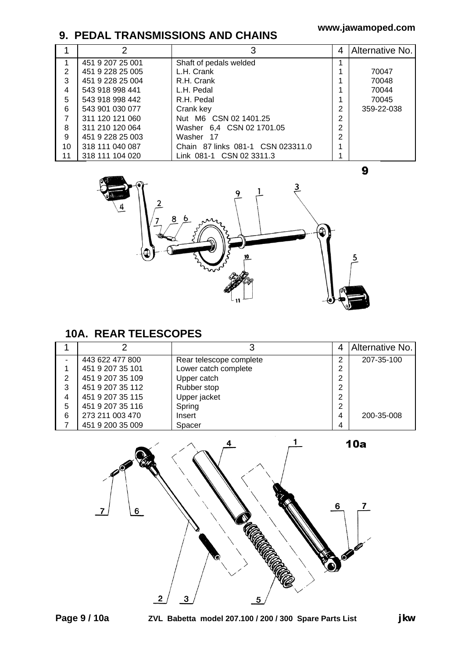#### **www.jawamoped.com**

# **9. PEDAL TRANSMISSIONS AND CHAINS**

|    | 2                | 3                                 | 4 | Alternative No. |
|----|------------------|-----------------------------------|---|-----------------|
|    | 451 9 207 25 001 | Shaft of pedals welded            |   |                 |
| 2  | 451 9 228 25 005 | L.H. Crank                        |   | 70047           |
| 3  | 451 9 228 25 004 | R.H. Crank                        |   | 70048           |
| 4  | 543 918 998 441  | L.H. Pedal                        |   | 70044           |
| 5  | 543 918 998 442  | R.H. Pedal                        |   | 70045           |
| 6  | 543 901 030 077  | Crank key                         | 2 | 359-22-038      |
| 7  | 311 120 121 060  | Nut M6 CSN 02 1401.25             | ⌒ |                 |
| 8  | 311 210 120 064  | Washer 6,4 CSN 02 1701.05         | ⌒ |                 |
| 9  | 451 9 228 25 003 | Washer 17                         | ⌒ |                 |
| 10 | 318 111 040 087  | Chain 87 links 081-1 CSN 023311.0 |   |                 |
| 11 | 318 111 104 020  | Link 081-1 CSN 02 3311.3          |   |                 |



#### **10A. REAR TELESCOPES**

| 1              | $\overline{2}$           | 3                       | 4              | Alternative No. |
|----------------|--------------------------|-------------------------|----------------|-----------------|
|                | 443 622 477 800          | Rear telescope complete | $\overline{2}$ | 207-35-100      |
| 1              | 451 9 207 35 101         | Lower catch complete    | $\overline{2}$ |                 |
| $\overline{c}$ | 451 9 207 35 109         | Upper catch             | $\overline{c}$ |                 |
| 3              | 451 9 207 35 112         | Rubber stop             | $\overline{c}$ |                 |
| 4              | 451 9 207 35 115         | Upper jacket            | $\overline{c}$ |                 |
| 5              | 451 9 207 35 116         | Spring                  | $\overline{2}$ |                 |
| 6              | 273 211 003 470          | Insert                  | $\overline{4}$ | 200-35-008      |
| $\overline{7}$ | 451 9 200 35 009         | Spacer                  | 4              |                 |
|                | $\overline{7}$<br>6<br>2 | 5                       | 6              | 10a<br>7        |

**Page 9 / 10a ZVL Babetta model 207.100 / 200 / 300 Spare Parts List jkw**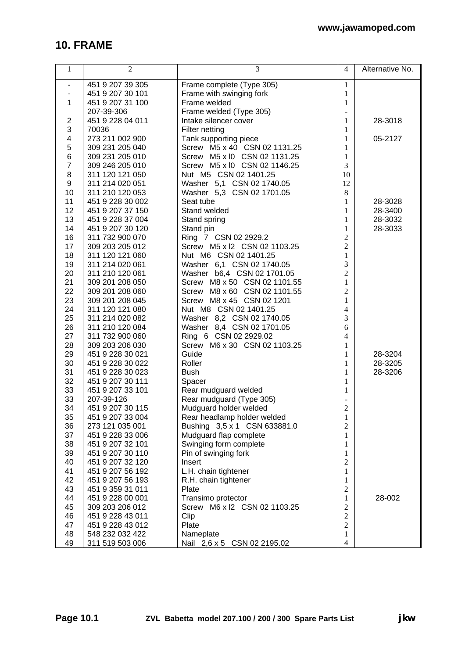#### **10. FRAME**

| 1                       | $\overline{2}$                      | 3                                     | 4                            | Alternative No.    |
|-------------------------|-------------------------------------|---------------------------------------|------------------------------|--------------------|
| $\blacksquare$          | 451 9 207 39 305                    | Frame complete (Type 305)             | $\mathbf{1}$                 |                    |
| ٠                       | 451 9 207 30 101                    | Frame with swinging fork              | $\mathbf{1}$                 |                    |
| 1                       | 451 9 207 31 100                    | Frame welded                          | $\mathbf{1}$                 |                    |
|                         | 207-39-306                          | Frame welded (Type 305)               | $\overline{\phantom{a}}$     |                    |
| $\overline{2}$          | 451 9 228 04 011                    | Intake silencer cover                 | $\mathbf{1}$                 | 28-3018            |
| 3                       | 70036                               | Filter netting                        | $\mathbf{1}$                 |                    |
| $\overline{\mathbf{4}}$ | 273 211 002 900                     | Tank supporting piece                 | $\mathbf{1}$                 | 05-2127            |
| 5                       | 309 231 205 040                     | Screw M5 x 40 CSN 02 1131.25          | $\mathbf{1}$                 |                    |
| 6                       | 309 231 205 010                     | Screw M5 x I0 CSN 02 1131.25          | $\mathbf{1}$                 |                    |
| $\overline{7}$          | 309 246 205 010                     | Screw M5 x I0 CSN 02 1146.25          | 3                            |                    |
| 8                       | 311 120 121 050                     | Nut M5 CSN 02 1401.25                 | 10                           |                    |
| 9                       | 311 214 020 051                     | Washer 5,1 CSN 02 1740.05             | 12                           |                    |
| 10                      | 311 210 120 053                     | Washer 5,3 CSN 02 1701.05             | 8                            |                    |
| 11                      | 451 9 228 30 002                    | Seat tube                             | $\mathbf{1}$                 | 28-3028            |
| 12                      | 451 9 207 37 150                    | Stand welded                          | $\mathbf{1}$                 | 28-3400            |
| 13                      | 451 9 228 37 004                    | Stand spring                          | 1                            | 28-3032            |
| 14                      | 451 9 207 30 120                    | Stand pin                             | $\mathbf{1}$                 | 28-3033            |
| 16                      | 311 732 900 070                     | Ring 7 CSN 02 2929.2                  | $\overline{2}$               |                    |
| 17                      | 309 203 205 012                     | Screw M5 x l2 CSN 02 1103.25          | $\overline{c}$               |                    |
| 18                      | 311 120 121 060                     | Nut M6 CSN 02 1401.25                 | $\mathbf{1}$                 |                    |
| 19                      | 311 214 020 061                     | Washer 6,1 CSN 02 1740.05             | 3                            |                    |
| 20                      | 311 210 120 061                     | Washer b6,4 CSN 02 1701.05            | $\overline{c}$               |                    |
| 21                      | 309 201 208 050                     | Screw M8 x 50 CSN 02 1101.55          | $\mathbf{1}$                 |                    |
| 22                      | 309 201 208 060                     | Screw M8 x 60 CSN 02 1101.55          | $\overline{2}$               |                    |
| 23                      | 309 201 208 045                     | Screw M8 x 45 CSN 02 1201             | 1                            |                    |
| 24                      | 311 120 121 080                     | Nut M8 CSN 02 1401.25                 | 4                            |                    |
| 25                      | 311 214 020 082                     | Washer 8,2 CSN 02 1740.05             | 3                            |                    |
| 26                      | 311 210 120 084                     | Washer 8,4 CSN 02 1701.05             | 6                            |                    |
| 27<br>28                | 311 732 900 060                     | Ring 6 CSN 02 2929.02                 | 4                            |                    |
|                         | 309 203 206 030<br>451 9 228 30 021 | Screw M6 x 30 CSN 02 1103.25<br>Guide | $\mathbf{1}$                 |                    |
| 29<br>30                | 451 9 228 30 022                    | Roller                                | $\mathbf{1}$<br>$\mathbf{1}$ | 28-3204<br>28-3205 |
| 31                      | 451 9 228 30 023                    | <b>Bush</b>                           | $\mathbf{1}$                 | 28-3206            |
| 32                      | 451 9 207 30 111                    | Spacer                                | $\mathbf{1}$                 |                    |
| 33                      | 451 9 207 33 101                    | Rear mudguard welded                  | $\mathbf{1}$                 |                    |
| 33                      | 207-39-126                          | Rear mudguard (Type 305)              |                              |                    |
| 34                      | 451 9 207 30 115                    | Mudguard holder welded                | $\overline{c}$               |                    |
| 35                      | 451 9 207 33 004                    | Rear headlamp holder welded           | 1                            |                    |
| 36                      | 273 121 035 001                     | Bushing 3,5 x 1 CSN 633881.0          | 2                            |                    |
| 37                      | 451 9 228 33 006                    | Mudguard flap complete                | 1                            |                    |
| 38                      | 451 9 207 32 101                    | Swinging form complete                | 1                            |                    |
| 39                      | 451 9 207 30 110                    | Pin of swinging fork                  | 1                            |                    |
| 40                      | 451 9 207 32 120                    | Insert                                | 2                            |                    |
| 41                      | 451 9 207 56 192                    | L.H. chain tightener                  | $\mathbf{1}$                 |                    |
| 42                      | 451 9 207 56 193                    | R.H. chain tightener                  | 1                            |                    |
| 43                      | 451 9 359 31 011                    | Plate                                 | 2                            |                    |
| 44                      | 451 9 228 00 001                    | Transimo protector                    | 1                            | 28-002             |
| 45                      | 309 203 206 012                     | Screw M6 x l2 CSN 02 1103.25          | 2                            |                    |
| 46                      | 451 9 228 43 011                    | Clip                                  | $\overline{c}$               |                    |
| 47                      | 451 9 228 43 012                    | Plate                                 | $\overline{2}$               |                    |
| 48                      | 548 232 032 422                     | Nameplate                             | 1                            |                    |
| 49                      | 311 519 503 006                     | Nail 2,6 x 5 CSN 02 2195.02           | $\overline{4}$               |                    |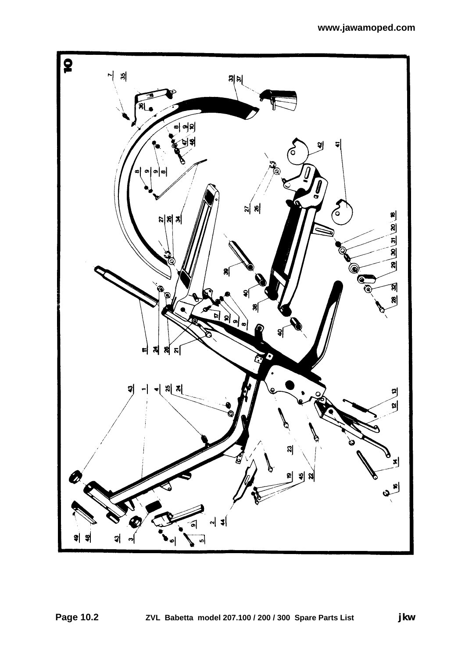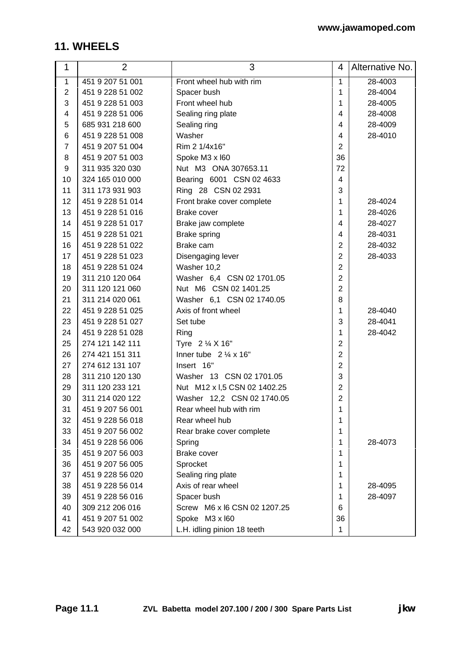#### **11. WHEELS**

| 1              | $\overline{2}$   | 3                                     | 4              | Alternative No. |
|----------------|------------------|---------------------------------------|----------------|-----------------|
| $\mathbf 1$    | 451 9 207 51 001 | Front wheel hub with rim              | 1              | 28-4003         |
| $\overline{c}$ | 451 9 228 51 002 | Spacer bush                           | 1              | 28-4004         |
| 3              | 451 9 228 51 003 | Front wheel hub                       | 1              | 28-4005         |
| 4              | 451 9 228 51 006 | Sealing ring plate                    | 4              | 28-4008         |
| 5              | 685 931 218 600  | Sealing ring                          | 4              | 28-4009         |
| 6              | 451 9 228 51 008 | Washer                                | 4              | 28-4010         |
| 7              | 451 9 207 51 004 | Rim 2 1/4x16"                         | $\overline{2}$ |                 |
| 8              | 451 9 207 51 003 | Spoke M3 x I60                        | 36             |                 |
| 9              | 311 935 320 030  | Nut M3 ONA 307653.11                  | 72             |                 |
| 10             | 324 165 010 000  | Bearing 6001 CSN 02 4633              | 4              |                 |
| 11             | 311 173 931 903  | Ring 28 CSN 02 2931                   | 3              |                 |
| 12             | 451 9 228 51 014 | Front brake cover complete            | 1              | 28-4024         |
| 13             | 451 9 228 51 016 | <b>Brake cover</b>                    | 1              | 28-4026         |
| 14             | 451 9 228 51 017 | Brake jaw complete                    | 4              | 28-4027         |
| 15             | 451 9 228 51 021 | Brake spring                          | 4              | 28-4031         |
| 16             | 451 9 228 51 022 | Brake cam                             | $\overline{2}$ | 28-4032         |
| 17             | 451 9 228 51 023 | Disengaging lever                     | $\overline{2}$ | 28-4033         |
| 18             | 451 9 228 51 024 | Washer 10,2                           | $\overline{2}$ |                 |
| 19             | 311 210 120 064  | Washer 6,4 CSN 02 1701.05             | $\overline{2}$ |                 |
| 20             | 311 120 121 060  | Nut M6 CSN 02 1401.25                 | $\overline{2}$ |                 |
| 21             | 311 214 020 061  | Washer 6,1 CSN 02 1740.05             | 8              |                 |
| 22             | 451 9 228 51 025 | Axis of front wheel                   | 1              | 28-4040         |
| 23             | 451 9 228 51 027 | Set tube                              | 3              | 28-4041         |
| 24             | 451 9 228 51 028 | Ring                                  | 1              | 28-4042         |
| 25             | 274 121 142 111  | Tyre 2 1/4 X 16"                      | $\overline{2}$ |                 |
| 26             | 274 421 151 311  | Inner tube $2\frac{1}{4} \times 16$ " | $\overline{2}$ |                 |
| 27             | 274 612 131 107  | Insert 16"                            | $\overline{2}$ |                 |
| 28             | 311 210 120 130  | Washer 13 CSN 02 1701.05              | 3              |                 |
| 29             | 311 120 233 121  | Nut M12 x I,5 CSN 02 1402.25          | $\overline{2}$ |                 |
| 30             | 311 214 020 122  | Washer 12,2 CSN 02 1740.05            | $\overline{2}$ |                 |
| 31             | 451 9 207 56 001 | Rear wheel hub with rim               | 1              |                 |
| 32             | 451 9 228 56 018 | Rear wheel hub                        | 1              |                 |
| 33             | 451 9 207 56 002 | Rear brake cover complete             | 1              |                 |
| 34             | 451 9 228 56 006 | Spring                                | 1              | 28-4073         |
| 35             | 451 9 207 56 003 | Brake cover                           | 1              |                 |
| 36             | 451 9 207 56 005 | Sprocket                              | 1              |                 |
| 37             | 451 9 228 56 020 | Sealing ring plate                    | 1              |                 |
| 38             | 451 9 228 56 014 | Axis of rear wheel                    | 1              | 28-4095         |
| 39             | 451 9 228 56 016 | Spacer bush                           | 1              | 28-4097         |
| 40             | 309 212 206 016  | Screw M6 x I6 CSN 02 1207.25          | 6              |                 |
| 41             | 451 9 207 51 002 | Spoke M3 x I60                        | 36             |                 |
| 42             | 543 920 032 000  | L.H. idling pinion 18 teeth           | 1              |                 |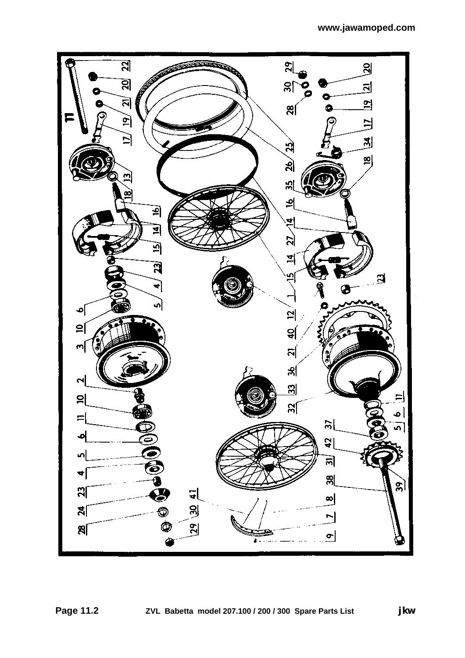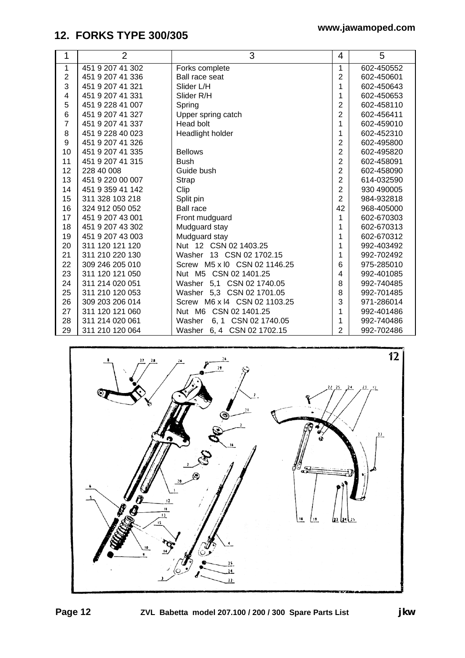#### **12. FORKS TYPE 300/305**

| 1           | $\overline{2}$   | 3                             | 4              | 5          |
|-------------|------------------|-------------------------------|----------------|------------|
| 1           | 451 9 207 41 302 | Forks complete                | 1              | 602-450552 |
| $\mathbf 2$ | 451 9 207 41 336 | Ball race seat                | $\overline{2}$ | 602-450601 |
| 3           | 451 9 207 41 321 | Slider L/H                    | 1              | 602-450643 |
| 4           | 451 9 207 41 331 | Slider R/H                    | 1              | 602-450653 |
| 5           | 451 9 228 41 007 | Spring                        | $\overline{2}$ | 602-458110 |
| 6           | 451 9 207 41 327 | Upper spring catch            | $\overline{2}$ | 602-456411 |
| 7           | 451 9 207 41 337 | Head bolt                     | 1              | 602-459010 |
| 8           | 451 9 228 40 023 | Headlight holder              | 1              | 602-452310 |
| 9           | 451 9 207 41 326 |                               | 2              | 602-495800 |
| 10          | 451 9 207 41 335 | <b>Bellows</b>                | $\overline{2}$ | 602-495820 |
| 11          | 451 9 207 41 315 | <b>Bush</b>                   | $\overline{2}$ | 602-458091 |
| 12          | 228 40 008       | Guide bush                    | $\overline{2}$ | 602-458090 |
| 13          | 451 9 220 00 007 | <b>Strap</b>                  | $\overline{2}$ | 614-032590 |
| 14          | 451 9 359 41 142 | Clip                          | $\overline{2}$ | 930 490005 |
| 15          | 311 328 103 218  | Split pin                     | $\overline{2}$ | 984-932818 |
| 16          | 324 912 050 052  | <b>Ball race</b>              | 42             | 968-405000 |
| 17          | 451 9 207 43 001 | Front mudguard                | 1              | 602-670303 |
| 18          | 451 9 207 43 302 | Mudguard stay                 | 1              | 602-670313 |
| 19          | 451 9 207 43 003 | Mudguard stay                 | 1              | 602-670312 |
| 20          | 311 120 121 120  | Nut 12 CSN 02 1403.25         | 1              | 992-403492 |
| 21          | 311 210 220 130  | Washer 13 CSN 02 1702.15      | 1              | 992-702492 |
| 22          | 309 246 205 010  | Screw M5 x I0 CSN 02 1146.25  | 6              | 975-285010 |
| 23          | 311 120 121 050  | Nut M5 CSN 02 1401.25         | $\overline{4}$ | 992-401085 |
| 24          | 311 214 020 051  | Washer 5,1 CSN 02 1740.05     | 8              | 992-740485 |
| 25          | 311 210 120 053  | Washer 5,3 CSN 02 1701.05     | 8              | 992-701485 |
| 26          | 309 203 206 014  | Screw M6 x l4 CSN 02 1103.25  | 3              | 971-286014 |
| 27          | 311 120 121 060  | Nut M6<br>CSN 02 1401.25      | 1              | 992-401486 |
| 28          | 311 214 020 061  | 6, 1 CSN 02 1740.05<br>Washer | 1              | 992-740486 |
| 29          | 311 210 120 064  | 6, 4 CSN 02 1702.15<br>Washer | 2              | 992-702486 |

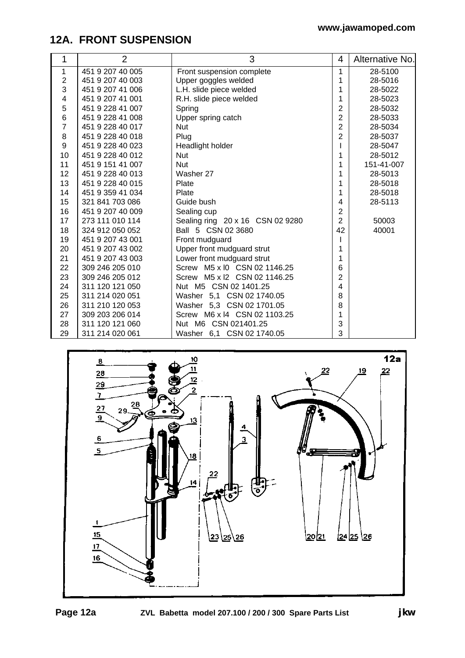#### **12A. FRONT SUSPENSION**

| 1              | $\overline{2}$   | 3                                | 4              | Alternative No. |
|----------------|------------------|----------------------------------|----------------|-----------------|
| 1              | 451 9 207 40 005 | Front suspension complete        | 1              | 28-5100         |
| $\overline{c}$ | 451 9 207 40 003 | Upper goggles welded             | 1              | 28-5016         |
| 3              | 451 9 207 41 006 | L.H. slide piece welded          | 1              | 28-5022         |
| 4              | 451 9 207 41 001 | R.H. slide piece welded          | 1              | 28-5023         |
| 5              | 451 9 228 41 007 | Spring                           | $\overline{2}$ | 28-5032         |
| 6              | 451 9 228 41 008 | Upper spring catch               | $\overline{2}$ | 28-5033         |
| 7              | 451 9 228 40 017 | <b>Nut</b>                       | $\overline{2}$ | 28-5034         |
| 8              | 451 9 228 40 018 | Plug                             | $\overline{2}$ | 28-5037         |
| 9              | 451 9 228 40 023 | Headlight holder                 |                | 28-5047         |
| 10             | 451 9 228 40 012 | <b>Nut</b>                       | 1              | 28-5012         |
| 11             | 451 9 151 41 007 | <b>Nut</b>                       | 1              | 151-41-007      |
| 12             | 451 9 228 40 013 | Washer 27                        | 1              | 28-5013         |
| 13             | 451 9 228 40 015 | Plate                            | 1              | 28-5018         |
| 14             | 451 9 359 41 034 | Plate                            | 1              | 28-5018         |
| 15             | 321 841 703 086  | Guide bush                       | 4              | 28-5113         |
| 16             | 451 9 207 40 009 | Sealing cup                      | $\overline{2}$ |                 |
| 17             | 273 111 010 114  | Sealing ring 20 x 16 CSN 02 9280 | $\overline{2}$ | 50003           |
| 18             | 324 912 050 052  | Ball 5 CSN 02 3680               | 42             | 40001           |
| 19             | 451 9 207 43 001 | Front mudguard                   |                |                 |
| 20             | 451 9 207 43 002 | Upper front mudguard strut       | 1              |                 |
| 21             | 451 9 207 43 003 | Lower front mudguard strut       | 1              |                 |
| 22             | 309 246 205 010  | Screw M5 x l0 CSN 02 1146.25     | 6              |                 |
| 23             | 309 246 205 012  | Screw M5 x l2 CSN 02 1146.25     | 2              |                 |
| 24             | 311 120 121 050  | Nut M5 CSN 02 1401.25            | 4              |                 |
| 25             | 311 214 020 051  | Washer 5,1 CSN 02 1740.05        | 8              |                 |
| 26             | 311 210 120 053  | Washer 5,3 CSN 02 1701.05        | 8              |                 |
| 27             | 309 203 206 014  | Screw M6 x l4 CSN 02 1103.25     | 1              |                 |
| 28             | 311 120 121 060  | Nut M6 CSN 021401.25             | 3              |                 |
| 29             | 311 214 020 061  | Washer 6,1 CSN 02 1740.05        | 3              |                 |

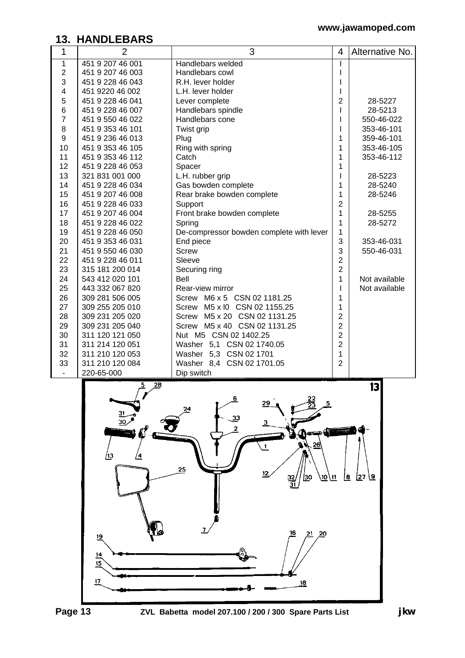#### **13. HANDLEBARS**

| 1              | $\overline{2}$   | 3                                        | 4              | Alternative No. |
|----------------|------------------|------------------------------------------|----------------|-----------------|
| 1              | 451 9 207 46 001 | Handlebars welded                        |                |                 |
| $\overline{2}$ | 451 9 207 46 003 | Handlebars cowl                          |                |                 |
| 3              | 451 9 228 46 043 | R.H. lever holder                        |                |                 |
| 4              | 451 9220 46 002  | L.H. lever holder                        |                |                 |
| 5              | 451 9 228 46 041 | Lever complete                           | $\overline{2}$ | 28-5227         |
| 6              | 451 9 228 46 007 | Handlebars spindle                       |                | 28-5213         |
| 7              | 451 9 550 46 022 | Handlebars cone                          |                | 550-46-022      |
| 8              | 451 9 353 46 101 | Twist grip                               |                | 353-46-101      |
| 9              | 451 9 236 46 013 | Plug                                     | 1              | 359-46-101      |
| 10             | 451 9 353 46 105 | Ring with spring                         | 1              | 353-46-105      |
| 11             | 451 9 353 46 112 | Catch                                    | 1              | 353-46-112      |
| 12             | 451 9 228 46 053 | Spacer                                   | 1              |                 |
| 13             | 321 831 001 000  | L.H. rubber grip                         |                | 28-5223         |
| 14             | 451 9 228 46 034 | Gas bowden complete                      | 1              | 28-5240         |
| 15             | 451 9 207 46 008 | Rear brake bowden complete               | 1              | 28-5246         |
| 16             | 451 9 228 46 033 | Support                                  | 2              |                 |
| 17             | 451 9 207 46 004 | Front brake bowden complete              | 1              | 28-5255         |
| 18             | 451 9 228 46 022 | Spring                                   | 1              | 28-5272         |
| 19             | 451 9 228 46 050 | De-compressor bowden complete with lever | 1              |                 |
| 20             | 451 9 353 46 031 | End piece                                | 3              | 353-46-031      |
| 21             | 451 9 550 46 030 | <b>Screw</b>                             | 3              | 550-46-031      |
| 22             | 451 9 228 46 011 | Sleeve                                   | $\overline{2}$ |                 |
| 23             | 315 181 200 014  | Securing ring                            | $\overline{2}$ |                 |
| 24             | 543 412 020 101  | Bell                                     | 1              | Not available   |
| 25             | 443 332 067 820  | Rear-view mirror                         |                | Not available   |
| 26             | 309 281 506 005  | Screw M6 x 5 CSN 02 1181.25              | 1              |                 |
| 27             | 309 255 205 010  | Screw M5 x l0 CSN 02 1155.25             | 1              |                 |
| 28             | 309 231 205 020  | M5 x 20 CSN 02 1131.25<br>Screw          | $\overline{2}$ |                 |
| 29             | 309 231 205 040  | M5 x 40 CSN 02 1131.25<br>Screw          | $\overline{2}$ |                 |
| 30             | 311 120 121 050  | Nut M5 CSN 02 1402.25                    | $\overline{2}$ |                 |
| 31             | 311 214 120 051  | Washer 5,1 CSN 02 1740.05                | $\overline{2}$ |                 |
| 32             | 311 210 120 053  | Washer 5,3 CSN 02 1701                   | 1              |                 |
| 33             | 311 210 120 084  | Washer 8,4 CSN 02 1701.05                | $\overline{2}$ |                 |
| $\blacksquare$ | 220-65-000       | Dip switch                               |                |                 |
|                |                  |                                          |                |                 |

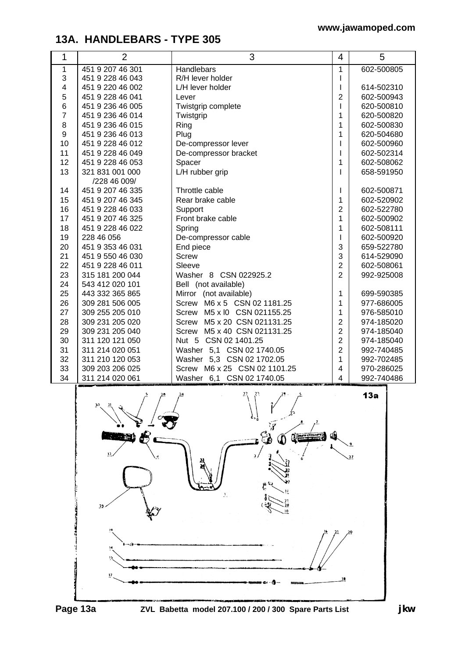#### **13A. HANDLEBARS - TYPE 305**

| 1              | $\overline{2}$                       | 3                                            | 4                   | 5                        |
|----------------|--------------------------------------|----------------------------------------------|---------------------|--------------------------|
| 1              | 451 9 207 46 301                     | <b>Handlebars</b>                            | 1                   | 602-500805               |
| 3              | 451 9 228 46 043                     | R/H lever holder                             | I                   |                          |
| 4              | 451 9 220 46 002                     | L/H lever holder                             | I                   | 614-502310               |
| 5              | 451 9 228 46 041                     | Lever                                        | $\overline{2}$      | 602-500943               |
| 6              | 451 9 236 46 005                     | Twistgrip complete                           | T                   | 620-500810               |
| $\overline{7}$ | 451 9 236 46 014                     | Twistgrip                                    | 1                   | 620-500820               |
| 8              | 451 9 236 46 015                     | Ring                                         | 1                   | 602-500830               |
| 9              | 451 9 236 46 013                     | Plug                                         | 1                   | 620-504680               |
| 10             | 451 9 228 46 012                     | De-compressor lever                          | $\mathsf{I}$        | 602-500960               |
| 11             | 451 9 228 46 049                     | De-compressor bracket                        | I                   | 602-502314               |
| 12             | 451 9 228 46 053                     | Spacer                                       | 1                   | 602-508062               |
| 13             | 321 831 001 000                      | L/H rubber grip                              | I                   | 658-591950               |
|                | /228 46 009/                         |                                              |                     |                          |
| 14             | 451 9 207 46 335                     | Throttle cable                               | $\mathsf{I}$        | 602-500871               |
| 15             | 451 9 207 46 345<br>451 9 228 46 033 | Rear brake cable                             | 1<br>$\overline{2}$ | 602-520902               |
| 16<br>17       | 451 9 207 46 325                     | Support<br>Front brake cable                 | 1                   | 602-522780<br>602-500902 |
| 18             | 451 9 228 46 022                     |                                              | 1                   |                          |
| 19             | 228 46 056                           | Spring                                       | $\mathsf{I}$        | 602-508111               |
| 20             | 451 9 353 46 031                     | De-compressor cable<br>End piece             | 3                   | 602-500920<br>659-522780 |
| 21             | 451 9 550 46 030                     | <b>Screw</b>                                 | 3                   |                          |
| 22             | 451 9 228 46 011                     | Sleeve                                       | $\overline{2}$      | 614-529090<br>602-508061 |
| 23             | 315 181 200 044                      | Washer 8 CSN 022925.2                        | $\overline{2}$      | 992-925008               |
| 24             | 543 412 020 101                      | Bell (not available)                         |                     |                          |
| 25             | 443 332 365 865                      | Mirror (not available)                       | 1                   | 699-590385               |
| 26             | 309 281 506 005                      | Screw M6 x 5 CSN 02 1181.25                  | 1                   | 977-686005               |
| 27             | 309 255 205 010                      | Screw M5 x l0 CSN 021155.25                  | 1                   | 976-585010               |
| 28             | 309 231 205 020                      | Screw M5 x 20 CSN 021131.25                  | $\overline{2}$      | 974-185020               |
| 29             | 309 231 205 040                      | Screw M5 x 40 CSN 021131.25                  | $\overline{2}$      | 974-185040               |
| 30             | 311 120 121 050                      | Nut 5 CSN 02 1401.25                         | $\overline{2}$      | 974-185040               |
| 31             | 311 214 020 051                      | Washer 5,1 CSN 02 1740.05                    | $\overline{2}$      | 992-740485               |
| 32             | 311 210 120 053                      | Washer 5,3 CSN 02 1702.05                    | 1                   | 992-702485               |
| 33             | 309 203 206 025                      | Screw M6 x 25 CSN 02 1101.25                 | 4                   | 970-286025               |
| 34             | 311 214 020 061                      | Washer 6,1 CSN 02 1740.05                    | 4                   | 992-740486               |
|                |                                      |                                              |                     |                          |
|                | $\overline{a}$<br>28                 | 22 Z3<br>$2! \cdot \underline{5}$<br>$^{24}$ |                     | 13a<br>27                |
|                | 22<br>15                             |                                              |                     | 20                       |
|                | 17                                   |                                              | 10                  |                          |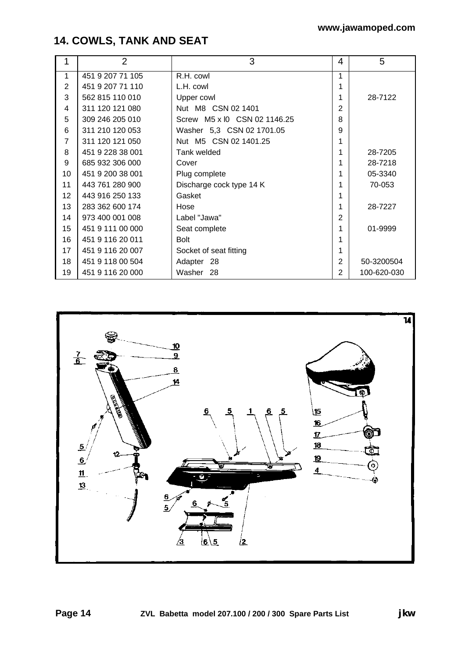# **14. COWLS, TANK AND SEAT**

|                | $\overline{2}$   | 3                            | 4 | 5           |
|----------------|------------------|------------------------------|---|-------------|
| 1              | 451 9 207 71 105 | R.H. cowl                    | 1 |             |
| $\overline{2}$ | 451 9 207 71 110 | L.H. cowl                    | 1 |             |
| 3              | 562 815 110 010  | Upper cowl                   |   | 28-7122     |
| 4              | 311 120 121 080  | Nut M8 CSN 02 1401           | 2 |             |
| 5              | 309 246 205 010  | Screw M5 x 10 CSN 02 1146.25 | 8 |             |
| 6              | 311 210 120 053  | Washer 5,3 CSN 02 1701.05    | 9 |             |
| 7              | 311 120 121 050  | Nut M5 CSN 02 1401.25        |   |             |
| 8              | 451 9 228 38 001 | Tank welded                  |   | 28-7205     |
| 9              | 685 932 306 000  | Cover                        |   | 28-7218     |
| 10             | 451 9 200 38 001 | Plug complete                |   | 05-3340     |
| 11             | 443 761 280 900  | Discharge cock type 14 K     |   | 70-053      |
| 12             | 443 916 250 133  | Gasket                       |   |             |
| 13             | 283 362 600 174  | Hose                         |   | 28-7227     |
| 14             | 973 400 001 008  | Label "Jawa"                 | 2 |             |
| 15             | 451 9 111 00 000 | Seat complete                |   | 01-9999     |
| 16             | 451 9 116 20 011 | <b>Bolt</b>                  |   |             |
| 17             | 451 9 116 20 007 | Socket of seat fitting       |   |             |
| 18             | 451 9 118 00 504 | Adapter 28                   | 2 | 50-3200504  |
| 19             | 451 9 116 20 000 | Washer<br>-28                | 2 | 100-620-030 |

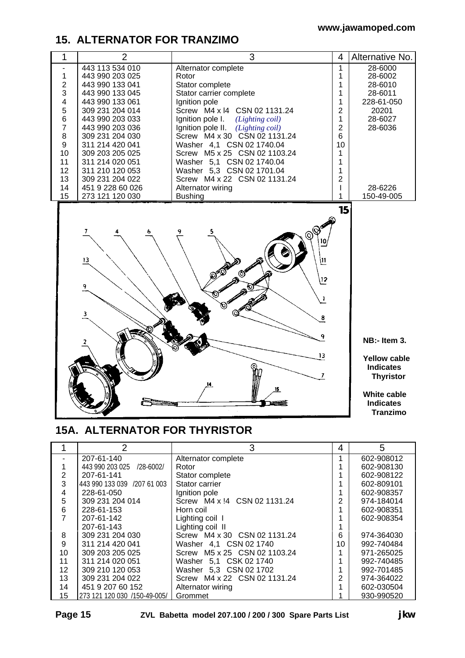# **15. ALTERNATOR FOR TRANZIMO**

| 1              | $\overline{2}$                     | 3                                                         | 4              | Alternative No.                                                |
|----------------|------------------------------------|-----------------------------------------------------------|----------------|----------------------------------------------------------------|
| 1              | 443 113 534 010<br>443 990 203 025 | Alternator complete<br>Rotor                              | 1<br>1         | 28-6000<br>28-6002                                             |
| $\overline{2}$ | 443 990 133 041                    | Stator complete                                           | 1              | 28-6010                                                        |
| 3              | 443 990 133 045                    | Stator carrier complete                                   | 1              | 28-6011                                                        |
| 4              | 443 990 133 061                    | Ignition pole                                             | 1              | 228-61-050                                                     |
| 5              | 309 231 204 014                    | Screw M4 x l4 CSN 02 1131.24                              | $\overline{2}$ | 20201                                                          |
| 6              | 443 990 203 033                    | Ignition pole I.<br>(Lighting coil)                       | 1              | 28-6027                                                        |
| $\overline{7}$ | 443 990 203 036                    | Ignition pole II. (Lighting coil)                         | $\overline{2}$ | 28-6036                                                        |
| 8              | 309 231 204 030                    | Screw M4 x 30 CSN 02 1131.24                              | 6              |                                                                |
| 9              | 311 214 420 041                    | Washer 4,1 CSN 02 1740.04                                 | 10             |                                                                |
| 10<br>11       | 309 203 205 025<br>311 214 020 051 | Screw M5 x 25 CSN 02 1103.24<br>Washer 5,1 CSN 02 1740.04 | 1<br>1         |                                                                |
| 12             | 311 210 120 053                    | Washer 5,3 CSN 02 1701.04                                 | 1              |                                                                |
| 13             | 309 231 204 022                    | Screw M4 x 22 CSN 02 1131.24                              | $\overline{2}$ |                                                                |
| 14             | 451 9 228 60 026                   | Alternator wiring                                         | L              | 28-6226                                                        |
| 15             | 273 121 120 030                    | <b>Bushing</b>                                            | 1              | 150-49-005                                                     |
|                | 7<br>13<br>9<br>з                  | 11<br>O)<br>$^{12}$<br>$\overline{\mathbf{1}}$<br>8       |                |                                                                |
|                |                                    | 9<br>13                                                   |                | <b>NB:- Item 3.</b><br><b>Yellow cable</b><br><b>Indicates</b> |
|                |                                    | 7                                                         |                | <b>Thyristor</b>                                               |
|                |                                    |                                                           |                | <b>White cable</b><br><b>Indicates</b><br><b>Tranzimo</b>      |

#### **15A. ALTERNATOR FOR THYRISTOR**

|    | $\overline{2}$                   | 3                            | 4              | 5          |
|----|----------------------------------|------------------------------|----------------|------------|
|    | 207-61-140                       | Alternator complete          |                | 602-908012 |
|    | 443 990 203 025<br>$/28 - 6002/$ | Rotor                        |                | 602-908130 |
| 2  | 207-61-141                       | Stator complete              |                | 602-908122 |
| 3  | 443 990 133 039 /207 61 003      | Stator carrier               |                | 602-809101 |
| 4  | 228-61-050                       | Ignition pole                |                | 602-908357 |
| 5  | 309 231 204 014                  | Screw M4 x !4 CSN 02 1131.24 | 2              | 974-184014 |
| 6  | 228-61-153                       | Horn coil                    |                | 602-908351 |
|    | 207-61-142                       | Lighting coil I              |                | 602-908354 |
|    | 207-61-143                       | Lighting coil II             |                |            |
| 8  | 309 231 204 030                  | Screw M4 x 30 CSN 02 1131.24 | 6              | 974-364030 |
| 9  | 311 214 420 041                  | Washer 4,1 CSN 02 1740       | 10             | 992-740484 |
| 10 | 309 203 205 025                  | Screw M5 x 25 CSN 02 1103.24 |                | 971-265025 |
| 11 | 311 214 020 051                  | Washer 5,1 CSK 02 1740       |                | 992-740485 |
| 12 | 309 210 120 053                  | Washer 5.3 CSN 02 1702       |                | 992-701485 |
| 13 | 309 231 204 022                  | Screw M4 x 22 CSN 02 1131.24 | $\overline{2}$ | 974-364022 |
| 14 | 451 9 207 60 152                 | Alternator wiring            |                | 602-030504 |
| 15 | 273 121 120 030 /150-49-005/     | Grommet                      |                | 930-990520 |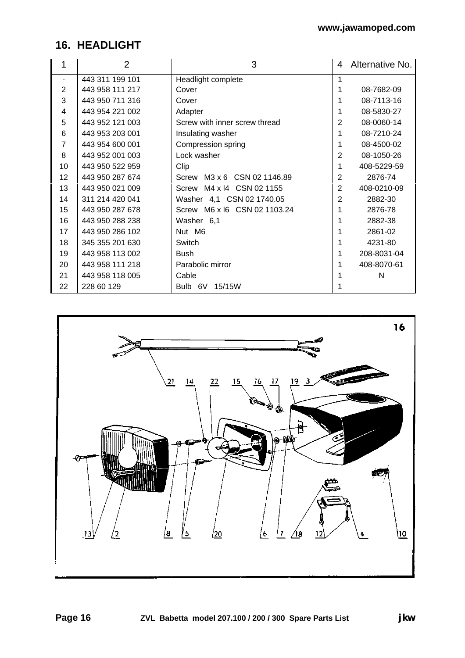#### **16. HEADLIGHT**

| 1  | $\overline{2}$  | 3                             | 4              | Alternative No. |
|----|-----------------|-------------------------------|----------------|-----------------|
| ٠  | 443 311 199 101 | Headlight complete            | 1              |                 |
| 2  | 443 958 111 217 | Cover                         | 1              | 08-7682-09      |
| 3  | 443 950 711 316 | Cover                         | 1              | 08-7113-16      |
| 4  | 443 954 221 002 | Adapter                       | 1              | 08-5830-27      |
| 5  | 443 952 121 003 | Screw with inner screw thread | 2              | 08-0060-14      |
| 6  | 443 953 203 001 | Insulating washer             | 1              | 08-7210-24      |
| 7  | 443 954 600 001 | Compression spring            | 1              | 08-4500-02      |
| 8  | 443 952 001 003 | Lock washer                   | $\overline{2}$ | 08-1050-26      |
| 10 | 443 950 522 959 | Clip                          | 1              | 408-5229-59     |
| 12 | 443 950 287 674 | Screw M3 x 6 CSN 02 1146.89   | $\overline{2}$ | 2876-74         |
| 13 | 443 950 021 009 | Screw M4 x 14 CSN 02 1155     | $\overline{2}$ | 408-0210-09     |
| 14 | 311 214 420 041 | Washer 4,1 CSN 02 1740.05     | $\overline{2}$ | 2882-30         |
| 15 | 443 950 287 678 | Screw M6 x l6 CSN 02 1103.24  | 1              | 2876-78         |
| 16 | 443 950 288 238 | Washer 6,1                    | 1              | 2882-38         |
| 17 | 443 950 286 102 | Nut M6                        | 1              | 2861-02         |
| 18 | 345 355 201 630 | Switch                        | 1              | 4231-80         |
| 19 | 443 958 113 002 | Bush                          | 1              | 208-8031-04     |
| 20 | 443 958 111 218 | Parabolic mirror              | 1              | 408-8070-61     |
| 21 | 443 958 118 005 | Cable                         |                | N               |
| 22 | 228 60 129      | Bulb 6V<br>15/15W             |                |                 |

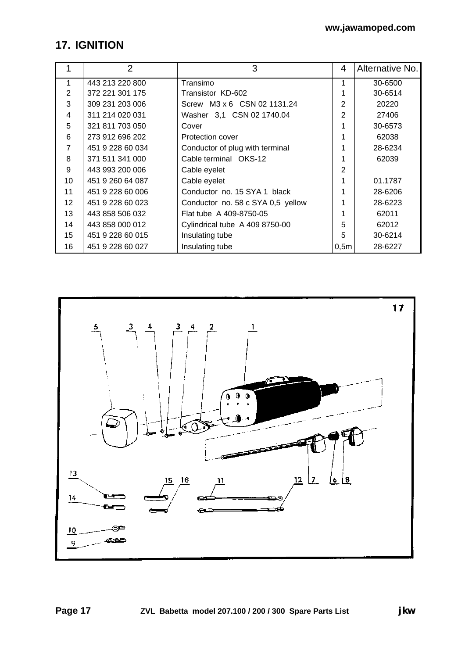#### **17. IGNITION**

|                 | $\overline{2}$   | 3                                 | 4                | Alternative No. |
|-----------------|------------------|-----------------------------------|------------------|-----------------|
| 1               | 443 213 220 800  | Transimo                          | 1                | 30-6500         |
| 2               | 372 221 301 175  | Transistor KD-602                 |                  | 30-6514         |
| 3               | 309 231 203 006  | Screw M3 x 6 CSN 02 1131.24       | 2                | 20220           |
| 4               | 311 214 020 031  | Washer 3,1 CSN 02 1740.04         | 2                | 27406           |
| 5               | 321 811 703 050  | Cover                             |                  | 30-6573         |
| 6               | 273 912 696 202  | Protection cover                  |                  | 62038           |
| 7               | 451 9 228 60 034 | Conductor of plug with terminal   |                  | 28-6234         |
| 8               | 371 511 341 000  | Cable terminal OKS-12             |                  | 62039           |
| 9               | 443 993 200 006  | Cable eyelet                      | $\overline{2}$   |                 |
| 10              | 451 9 260 64 087 | Cable eyelet                      |                  | 01.1787         |
| 11              | 451 9 228 60 006 | Conductor no. 15 SYA 1 black      |                  | 28-6206         |
| 12 <sup>2</sup> | 451 9 228 60 023 | Conductor no. 58 c SYA 0,5 yellow |                  | 28-6223         |
| 13              | 443 858 506 032  | Flat tube A 409-8750-05           | 1                | 62011           |
| 14              | 443 858 000 012  | Cylindrical tube A 409 8750-00    | 5                | 62012           |
| 15              | 451 9 228 60 015 | Insulating tube                   | 5                | 30-6214         |
| 16              | 451 9 228 60 027 | Insulating tube                   | 0.5 <sub>m</sub> | 28-6227         |

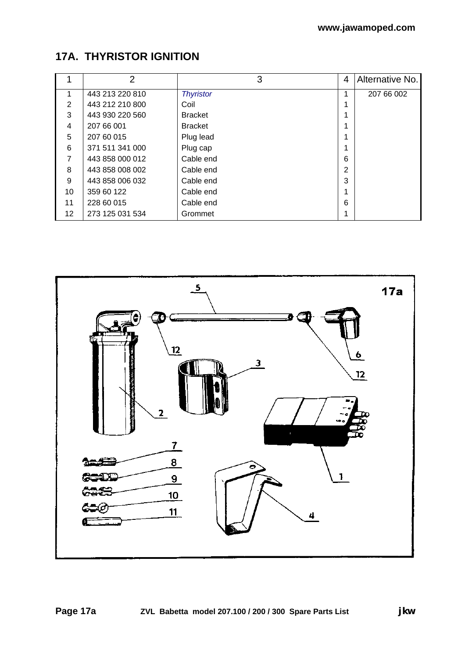|                | $\overline{2}$  | 3                | 4 | Alternative No. |
|----------------|-----------------|------------------|---|-----------------|
| 1              | 443 213 220 810 | <b>Thyristor</b> |   | 207 66 002      |
| 2              | 443 212 210 800 | Coil             |   |                 |
| 3              | 443 930 220 560 | <b>Bracket</b>   |   |                 |
| 4              | 207 66 001      | <b>Bracket</b>   |   |                 |
| 5              | 207 60 015      | Plug lead        |   |                 |
| 6              | 371 511 341 000 | Plug cap         |   |                 |
| $\overline{7}$ | 443 858 000 012 | Cable end        | 6 |                 |
| 8              | 443 858 008 002 | Cable end        | 2 |                 |
| 9              | 443 858 006 032 | Cable end        | 3 |                 |
| 10             | 359 60 122      | Cable end        |   |                 |
| 11             | 228 60 015      | Cable end        | 6 |                 |
| 12             | 273 125 031 534 | Grommet          |   |                 |



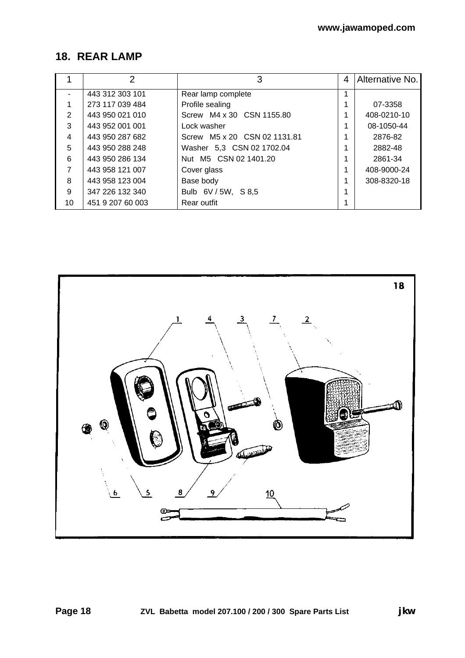# **18. REAR LAMP**

|                | 2                | 3                            | 4 | Alternative No. |
|----------------|------------------|------------------------------|---|-----------------|
|                | 443 312 303 101  | Rear lamp complete           |   |                 |
|                | 273 117 039 484  | Profile sealing              |   | 07-3358         |
| 2              | 443 950 021 010  | Screw M4 x 30 CSN 1155.80    |   | 408-0210-10     |
| 3              | 443 952 001 001  | Lock washer                  |   | 08-1050-44      |
| 4              | 443 950 287 682  | Screw M5 x 20 CSN 02 1131.81 |   | 2876-82         |
| 5              | 443 950 288 248  | Washer 5.3 CSN 02 1702.04    |   | 2882-48         |
| 6              | 443 950 286 134  | Nut M5 CSN 02 1401.20        |   | 2861-34         |
| $\overline{7}$ | 443 958 121 007  | Cover glass                  |   | 408-9000-24     |
| 8              | 443 958 123 004  | Base body                    |   | 308-8320-18     |
| 9              | 347 226 132 340  | Bulb 6V / 5W, S 8,5          |   |                 |
| 10             | 451 9 207 60 003 | Rear outfit                  |   |                 |